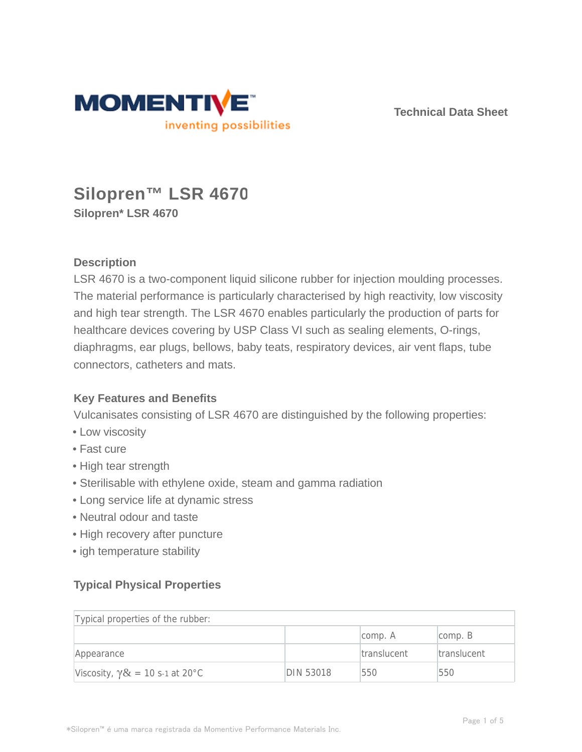

**Technical Data Sheet**

# **Silopren™ LSR 4670 Silopren\* LSR 4670**

# **Description**

LSR 4670 is a two-component liquid silicone rubber for injection moulding processes. The material performance is particularly characterised by high reactivity, low viscosity and high tear strength. The LSR 4670 enables particularly the production of parts for healthcare devices covering by USP Class VI such as sealing elements, O-rings, diaphragms, ear plugs, bellows, baby teats, respiratory devices, air vent flaps, tube connectors, catheters and mats.

# **Key Features and Benefits**

Vulcanisates consisting of LSR 4670 are distinguished by the following properties:

- Low viscosity
- Fast cure
- High tear strength
- Sterilisable with ethylene oxide, steam and gamma radiation
- Long service life at dynamic stress
- Neutral odour and taste
- High recovery after puncture
- igh temperature stability

# **Typical Physical Properties**

| Typical properties of the rubber:       |           |                    |                     |  |  |
|-----------------------------------------|-----------|--------------------|---------------------|--|--|
|                                         |           | comp. A            | $\mathsf{comp.}\;B$ |  |  |
| Appearance                              |           | <b>translucent</b> | translucent         |  |  |
| Viscosity, $\gamma \& = 10$ s-1 at 20°C | DIN 53018 | 550                | 550                 |  |  |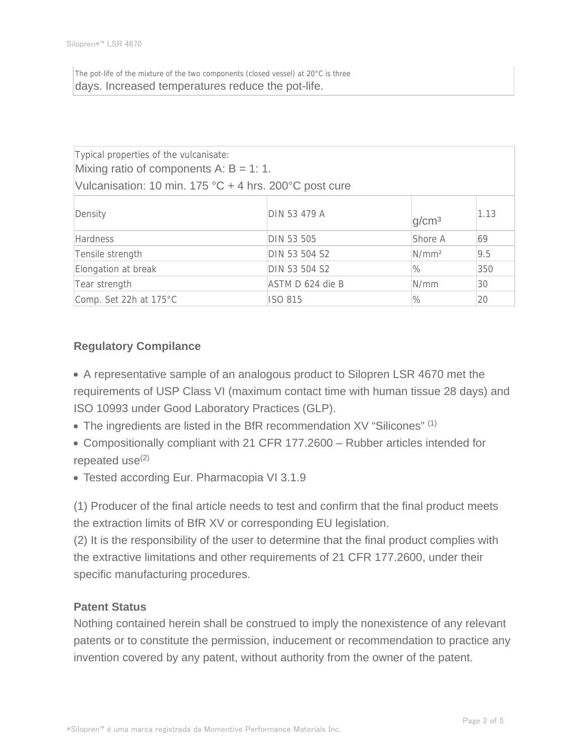The pot-life of the mixture of the two components (closed vessel) at 20°C is three days. Increased temperatures reduce the pot-life.

| Typical properties of the vulcanisate:<br>Mixing ratio of components A: $B = 1: 1$ .<br>Vulcanisation: 10 min. 175 °C + 4 hrs. 200°C post cure |                  |                   |      |  |  |  |
|------------------------------------------------------------------------------------------------------------------------------------------------|------------------|-------------------|------|--|--|--|
| Density                                                                                                                                        | DIN 53 479 A     | q/cm <sup>3</sup> | 1.13 |  |  |  |
| <b>Hardness</b>                                                                                                                                | DIN 53 505       | Shore A           | 69   |  |  |  |
| Tensile strength                                                                                                                               | DIN 53 504 S2    | N/mm <sup>2</sup> | 9.5  |  |  |  |
| Elongation at break                                                                                                                            | DIN 53 504 S2    | $\%$              | 350  |  |  |  |
| Tear strength                                                                                                                                  | ASTM D 624 die B | N/mm              | 30   |  |  |  |
| Comp. Set 22h at 175°C                                                                                                                         | <b>ISO 815</b>   | $\%$              | 20   |  |  |  |

# **Regulatory Compilance**

A representative sample of an analogous product to Silopren LSR 4670 met the requirements of USP Class VI (maximum contact time with human tissue 28 days) and ISO 10993 under Good Laboratory Practices (GLP).

 $\bullet$  The ingredients are listed in the BfR recommendation XV "Silicones"  $(1)$ 

Compositionally compliant with 21 CFR 177.2600 – Rubber articles intended for repeated use $(2)$ 

Tested according Eur. Pharmacopia VI 3.1.9

(1) Producer of the final article needs to test and confirm that the final product meets the extraction limits of BfR XV or corresponding EU legislation.

(2) It is the responsibility of the user to determine that the final product complies with the extractive limitations and other requirements of 21 CFR 177.2600, under their specific manufacturing procedures.

### **Patent Status**

Nothing contained herein shall be construed to imply the nonexistence of any relevant patents or to constitute the permission, inducement or recommendation to practice any invention covered by any patent, without authority from the owner of the patent.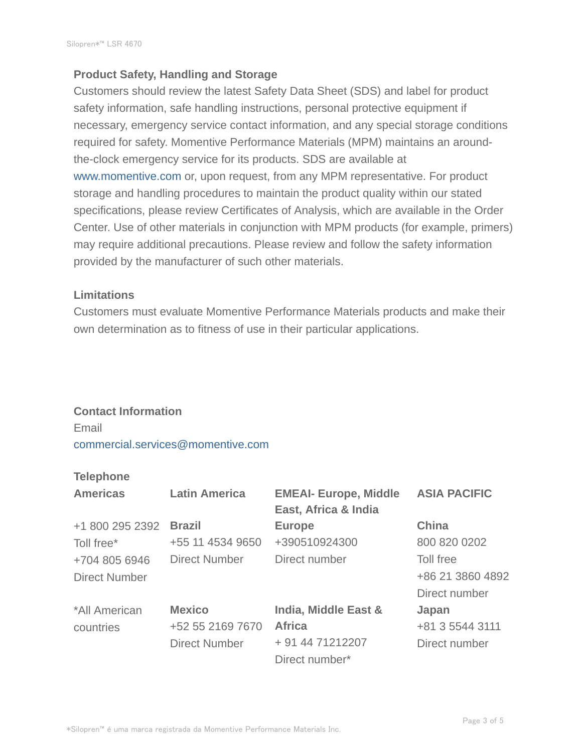### **Product Safety, Handling and Storage**

Customers should review the latest Safety Data Sheet (SDS) and label for product safety information, safe handling instructions, personal protective equipment if necessary, emergency service contact information, and any special storage conditions required for safety. Momentive Performance Materials (MPM) maintains an aroundthe-clock emergency service for its products. SDS are available at www.momentive.com or, upon request, from any MPM representative. For product storage and handling procedures to maintain the product quality within our stated specifications, please review Certificates of Analysis, which are available in the Order Center. Use of other materials in conjunction with MPM products (for example, primers) may require additional precautions. Please review and follow the safety information provided by the manufacturer of such other materials.

#### **Limitations**

Customers must evaluate Momentive Performance Materials products and make their own determination as to fitness of use in their particular applications.

#### **Contact Information**

Email commercial.services@momentive.com

### **Telephone**

| <b>Americas</b>      | <b>Latin America</b> | <b>EMEAI- Europe, Middle</b><br>East, Africa & India | <b>ASIA PACIFIC</b> |
|----------------------|----------------------|------------------------------------------------------|---------------------|
| +1 800 295 2392      | <b>Brazil</b>        | <b>Europe</b>                                        | <b>China</b>        |
| Toll free*           | +55 11 4534 9650     | +390510924300                                        | 800 820 0202        |
| +704 805 6946        | <b>Direct Number</b> | Direct number                                        | Toll free           |
| <b>Direct Number</b> |                      |                                                      | +86 21 3860 4892    |
|                      |                      |                                                      | Direct number       |
| *All American        | <b>Mexico</b>        | India, Middle East &                                 | Japan               |
| countries            | +52 55 2169 7670     | <b>Africa</b>                                        | +81 3 5544 3111     |
|                      | <b>Direct Number</b> | + 91 44 71212207                                     | Direct number       |
|                      |                      | Direct number*                                       |                     |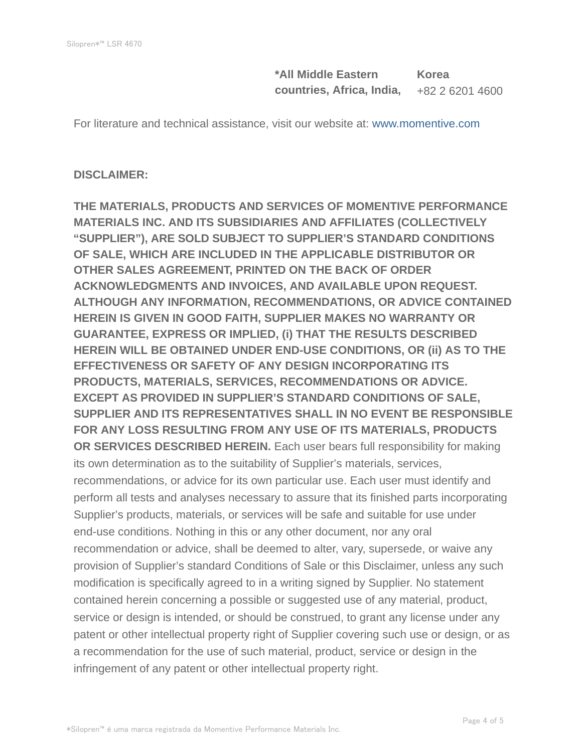**\*All Middle Eastern countries, Africa, India, Korea** +82 2 6201 4600

For literature and technical assistance, visit our website at: www.momentive.com

#### **DISCLAIMER:**

**THE MATERIALS, PRODUCTS AND SERVICES OF MOMENTIVE PERFORMANCE MATERIALS INC. AND ITS SUBSIDIARIES AND AFFILIATES (COLLECTIVELY "SUPPLIER"), ARE SOLD SUBJECT TO SUPPLIER'S STANDARD CONDITIONS OF SALE, WHICH ARE INCLUDED IN THE APPLICABLE DISTRIBUTOR OR OTHER SALES AGREEMENT, PRINTED ON THE BACK OF ORDER ACKNOWLEDGMENTS AND INVOICES, AND AVAILABLE UPON REQUEST. ALTHOUGH ANY INFORMATION, RECOMMENDATIONS, OR ADVICE CONTAINED HEREIN IS GIVEN IN GOOD FAITH, SUPPLIER MAKES NO WARRANTY OR GUARANTEE, EXPRESS OR IMPLIED, (i) THAT THE RESULTS DESCRIBED HEREIN WILL BE OBTAINED UNDER END-USE CONDITIONS, OR (ii) AS TO THE EFFECTIVENESS OR SAFETY OF ANY DESIGN INCORPORATING ITS PRODUCTS, MATERIALS, SERVICES, RECOMMENDATIONS OR ADVICE. EXCEPT AS PROVIDED IN SUPPLIER'S STANDARD CONDITIONS OF SALE, SUPPLIER AND ITS REPRESENTATIVES SHALL IN NO EVENT BE RESPONSIBLE FOR ANY LOSS RESULTING FROM ANY USE OF ITS MATERIALS, PRODUCTS OR SERVICES DESCRIBED HEREIN.** Each user bears full responsibility for making its own determination as to the suitability of Supplier's materials, services, recommendations, or advice for its own particular use. Each user must identify and perform all tests and analyses necessary to assure that its finished parts incorporating Supplier's products, materials, or services will be safe and suitable for use under end-use conditions. Nothing in this or any other document, nor any oral recommendation or advice, shall be deemed to alter, vary, supersede, or waive any provision of Supplier's standard Conditions of Sale or this Disclaimer, unless any such modification is specifically agreed to in a writing signed by Supplier. No statement contained herein concerning a possible or suggested use of any material, product, service or design is intended, or should be construed, to grant any license under any patent or other intellectual property right of Supplier covering such use or design, or as a recommendation for the use of such material, product, service or design in the infringement of any patent or other intellectual property right.